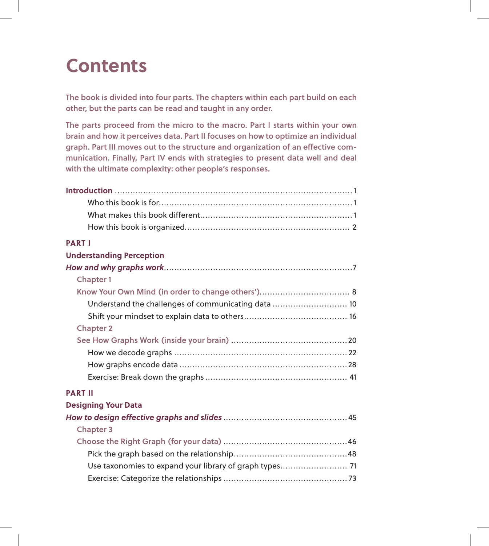## **Contents**

The book is divided into four parts. The chapters within each part build on each other, but the parts can be read and taught in any order.

The parts proceed from the micro to the macro. Part I starts within your own brain and how it perceives data. Part II focuses on how to optimize an individual graph. Part III moves out to the structure and organization of an effective communication. Finally, Part IV ends with strategies to present data well and deal with the ultimate complexity: other people's responses.

| <b>PARTI</b>                                            |
|---------------------------------------------------------|
| <b>Understanding Perception</b>                         |
|                                                         |
| <b>Chapter 1</b>                                        |
|                                                         |
| Understand the challenges of communicating data  10     |
|                                                         |
| <b>Chapter 2</b>                                        |
|                                                         |
|                                                         |
|                                                         |
|                                                         |
| <b>PART II</b>                                          |
| <b>Designing Your Data</b>                              |
|                                                         |
| <b>Chapter 3</b>                                        |
|                                                         |
|                                                         |
| Use taxonomies to expand your library of graph types 71 |
|                                                         |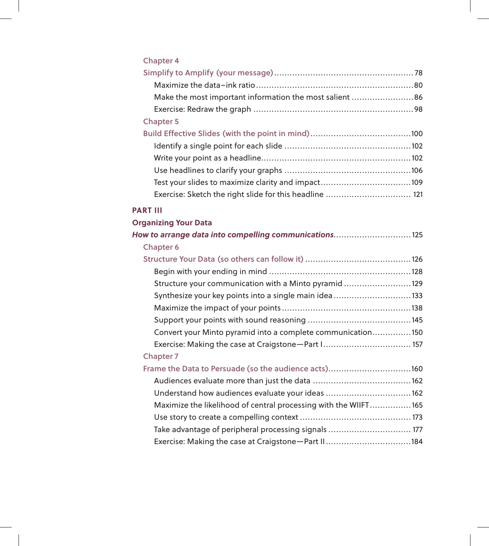| <b>Chapter 4</b>                                                 |
|------------------------------------------------------------------|
|                                                                  |
|                                                                  |
| Make the most important information the most salient 86          |
|                                                                  |
| <b>Chapter 5</b>                                                 |
|                                                                  |
|                                                                  |
|                                                                  |
|                                                                  |
|                                                                  |
| Exercise: Sketch the right slide for this headline  121          |
| <b>PART III</b>                                                  |
| <b>Organizing Your Data</b>                                      |
| How to arrange data into compelling communications 125           |
| <b>Chapter 6</b>                                                 |
|                                                                  |
|                                                                  |
| Structure your communication with a Minto pyramid 129            |
| Synthesize your key points into a single main idea133            |
|                                                                  |
|                                                                  |
| Convert your Minto pyramid into a complete communication150      |
| Exercise: Making the case at Craigstone-Part I 157               |
| <b>Chapter 7</b>                                                 |
|                                                                  |
| Frame the Data to Persuade (so the audience acts)160             |
|                                                                  |
| Understand how audiences evaluate your ideas 162                 |
| Maximize the likelihood of central processing with the WIIFT 165 |
|                                                                  |
| Take advantage of peripheral processing signals  177             |
| Exercise: Making the case at Craigstone-Part II184               |